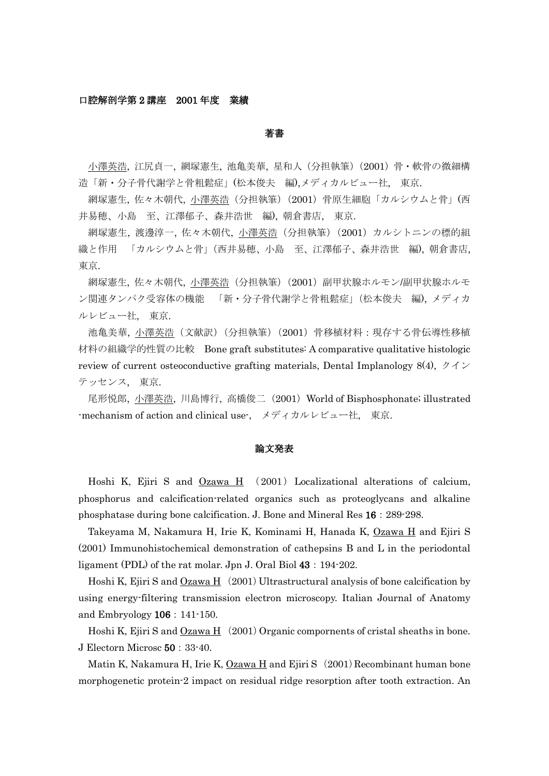### 口腔解剖学第 2 講座 2001 年度 業績

#### 著書

小澤英浩, 江尻貞一, 網塚憲生, 池亀美華, 星和人(分担執筆)(2001)骨・軟骨の微細構 造「新・分子骨代謝学と骨粗鬆症」(松本俊夫 編),メディカルビュー社, 東京.

網塚憲生, 佐々木朝代, 小澤英浩(分担執筆)(2001)骨原生細胞「カルシウムと骨」(西 井易穂、小島 至、江澤郁子、森井浩世 編), 朝倉書店, 東京.

網塚憲生, 渡邊淳一, 佐々木朝代, 小澤英浩(分担執筆)(2001)カルシトニンの標的組 織と作用 「カルシウムと骨」(西井易穂、小島 至、江澤郁子、森井浩世 編), 朝倉書店, 東京.

網塚憲生, 佐々木朝代, 小澤英浩(分担執筆)(2001)副甲状腺ホルモン/副甲状腺ホルモ ン関連タンパク受容体の機能 「新・分子骨代謝学と骨粗鬆症」(松本俊夫 編), メディカ ルレビュー社, 東京.

池亀美華, 小澤英浩(文献訳)(分担執筆)(2001)骨移植材料:現存する骨伝導性移植 材料の組織学的性質の比較 Bone graft substitutes: A comparative qualitative histologic review of current osteoconductive grafting materials, Dental Implanology 8(4),  $\forall \forall \forall$ テッセンス, 東京.

尾形悦郎, 小澤英浩, 川島博行, 高橋俊二 (2001) World of Bisphosphonate; illustrated -mechanism of action and clinical use-, メディカルレビュー社, 東京.

## 論文発表

Hoshi K, Ejiri S and Ozawa H (2001) Localizational alterations of calcium, phosphorus and calcification-related organics such as proteoglycans and alkaline phosphatase during bone calcification. J. Bone and Mineral Res 16:289-298.

Takeyama M, Nakamura H, Irie K, Kominami H, Hanada K, Ozawa H and Ejiri S (2001) Immunohistochemical demonstration of cathepsins B and L in the periodontal ligament (PDL) of the rat molar. Jpn J. Oral Biol 43: 194-202.

Hoshi K, Ejiri S and  $Qzawa H$  (2001) Ultrastructural analysis of bone calcification by using energy-filtering transmission electron microscopy. Italian Journal of Anatomy and Embryology 106:141-150.

Hoshi K, Ejiri S and  $Ozawa H$  (2001) Organic compornents of cristal sheaths in bone. J Electorn Microsc 50:33-40.

Matin K, Nakamura H, Irie K,  $Ozawa H$  and Ejiri S (2001) Recombinant human bone morphogenetic protein-2 impact on residual ridge resorption after tooth extraction. An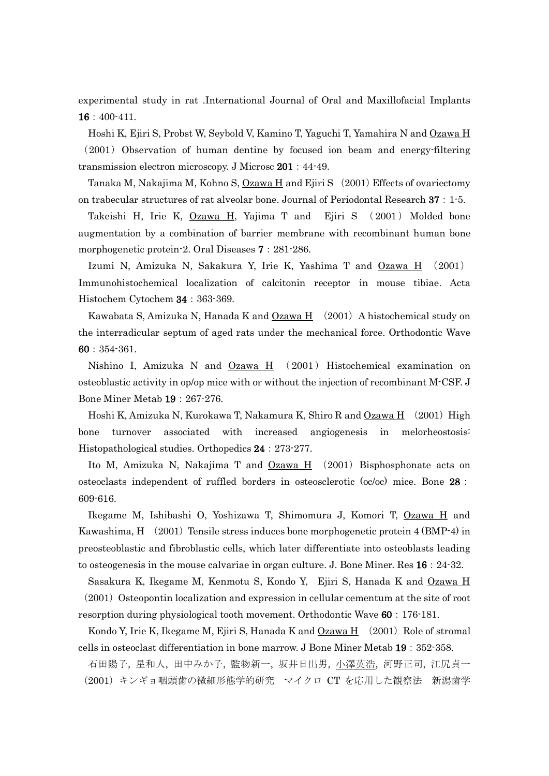experimental study in rat .International Journal of Oral and Maxillofacial Implants 16:400-411.

Hoshi K, Ejiri S, Probst W, Seybold V, Kamino T, Yaguchi T, Yamahira N and Ozawa H (2001) Observation of human dentine by focused ion beam and energy-filtering transmission electron microscopy. J Microsc 201:44-49.

Tanaka M, Nakajima M, Kohno S,  $Ozawa H$  and Ejiri S (2001) Effects of ovariectomy on trabecular structures of rat alveolar bone. Journal of Periodontal Research 37:1-5.

Takeishi H, Irie K, Ozawa H, Yajima T and Ejiri S (2001) Molded bone augmentation by a combination of barrier membrane with recombinant human bone morphogenetic protein-2. Oral Diseases  $7:281-286$ .

Izumi N, Amizuka N, Sakakura Y, Irie K, Yashima T and Ozawa H (2001) Immunohistochemical localization of calcitonin receptor in mouse tibiae. Acta Histochem Cytochem 34:363-369.

Kawabata S, Amizuka N, Hanada K and  $Ozawa H$  (2001) A histochemical study on the interradicular septum of aged rats under the mechanical force. Orthodontic Wave 60:354-361.

Nishino I, Amizuka N and  $Qzawa H$  (2001) Histochemical examination on osteoblastic activity in op/op mice with or without the injection of recombinant M-CSF. J Bone Miner Metab 19:267-276.

Hoshi K, Amizuka N, Kurokawa T, Nakamura K, Shiro R and  $Ozawa H$  (2001) High bone turnover associated with increased angiogenesis in melorheostosis: Histopathological studies. Orthopedics 24:273-277.

Ito M, Amizuka N, Nakajima T and  $Qzawa H$  (2001) Bisphosphonate acts on osteoclasts independent of ruffled borders in osteosclerotic (oc/oc) mice. Bone 28: 609-616.

Ikegame M, Ishibashi O, Yoshizawa T, Shimomura J, Komori T, Ozawa H and Kawashima,  $H(2001)$  Tensile stress induces bone morphogenetic protein 4 (BMP-4) in preosteoblastic and fibroblastic cells, which later differentiate into osteoblasts leading to osteogenesis in the mouse calvariae in organ culture. J. Bone Miner. Res 16:24-32.

Sasakura K, Ikegame M, Kenmotu S, Kondo Y, Ejiri S, Hanada K and Ozawa H  $(2001)$  Osteopontin localization and expression in cellular cementum at the site of root resorption during physiological tooth movement. Orthodontic Wave 60: 176-181.

Kondo Y, Irie K, Ikegame M, Ejiri S, Hanada K and Ozawa  $H(2001)$  Role of stromal cells in osteoclast differentiation in bone marrow. J Bone Miner Metab 19:352-358.

石田陽子, 星和人, 田中みか子, 監物新一, 坂井日出男, 小澤英浩, 河野正司, 江尻貞一 (2001)キンギョ咽頭歯の微細形態学的研究 マイクロ CT を応用した観察法 新潟歯学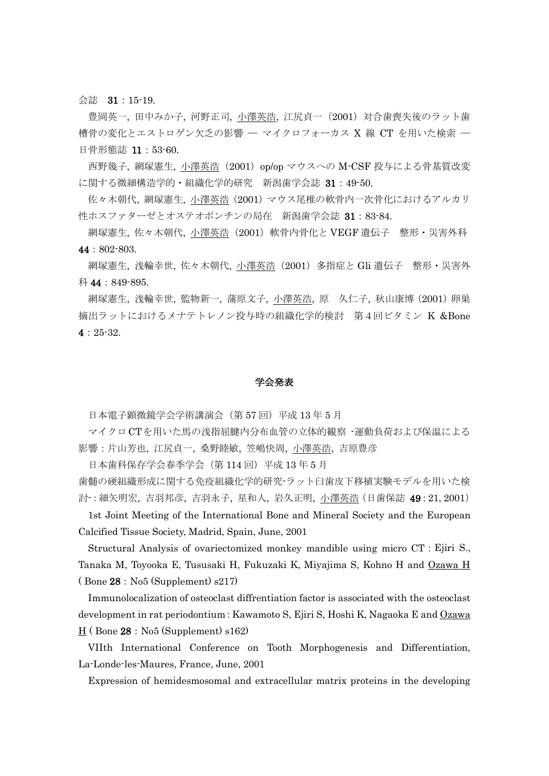会誌 31:15-19.

豊岡英一, 田中みか子, 河野正司, 小澤英浩, 江尻貞一(2001)対合歯喪失後のラット歯 槽骨の変化とエストロゲン欠乏の影響 ─ マイクロフォーカス X 線 CT を用いた検索 ─ 日骨形熊誌 11:53-60.

西野幾子, 網塚憲生, 小澤英浩(2001)op/op マウスへの M-CSF 投与による骨基質改変 に関する微細構造学的・組織化学的研究 新潟歯学会誌 31:49-50.

佐々木朝代, 網塚憲生, 小澤英浩(2001)マウス尾椎の軟骨内一次骨化におけるアルカリ 性ホスファターゼとオステオポンチンの局在 新潟歯学会誌 31:83-84.

網塚憲生, 佐々木朝代, <u>小澤英浩</u>(2001)軟骨内骨化と VEGF 遺伝子 整形・災害外科 44:802-803.

網塚憲生, 浅輪幸世, 佐々木朝代, <u>小澤英浩</u> (2001) 多指症と Gli 遺伝子 整形・災害外 科 44:849-895.

網塚憲生, 浅輪幸世, 監物新一, 蒲原文子, 小澤英浩, 原 久仁子, 秋山康博 (2001) 卵巣 摘出ラットにおけるメナテトレノン投与時の組織化学的検討 第4回ビタミン K &Bone 4:25-32.

#### 学会発表

日本電子顕微鏡学会学術講演会(第 57回)平成 13年 5月

マイクロCTを用いた馬の浅指屈腱内分布血管の立体的観察 -運動負荷および保温による 影響:片山芳也, 江尻貞一, 桑野睦敏, 笠嶋快周, 小澤英浩, 吉原豊彦

日本歯科保存学会春季学会(第114回)平成13年5月

歯髄の硬組織形成に関する免疫組織化学的研究-ラット臼歯皮下移植実験モデルを用いた検 討-:細矢明宏, 吉羽邦彦, 吉羽永子, 星和人, 岩久正明, 小澤英浩(日歯保誌 49:21, 2001)

1st Joint Meeting of the International Bone and Mineral Society and the European Calcified Tissue Society, Madrid, Spain, June, 2001

Structural Analysis of ovariectomized monkey mandible using micro CT:Ejiri S., Tanaka M, Toyooka E, Tususaki H, Fukuzaki K, Miyajima S, Kohno H and Ozawa H  $(Bone 28: No5 (Supplement) s217)$ 

Immunolocalization of osteoclast diffrentiation factor is associated with the osteoclast development in rat periodontium: Kawamoto S, Ejiri S, Hoshi K, Nagaoka E and Ozawa  $H$  (Bone 28: No5 (Supplement) s162)

VIIth International Conference on Tooth Morphogenesis and Differentiation, La-Londe-les-Maures, France, June, 2001

Expression of hemidesmosomal and extracellular matrix proteins in the developing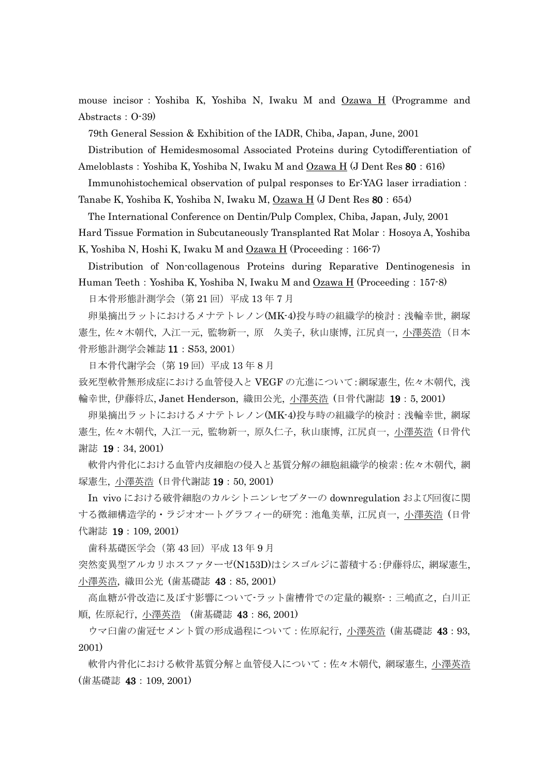mouse incisor: Yoshiba K, Yoshiba N, Iwaku M and Ozawa H (Programme and Abstracts:  $O-39$ 

79th General Session & Exhibition of the IADR, Chiba, Japan, June, 2001

Distribution of Hemidesmosomal Associated Proteins during Cytodifferentiation of

Ameloblasts:Yoshiba K, Yoshiba N, Iwaku M and Ozawa H (J Dent Res 80:616)

Immunohistochemical observation of pulpal responses to Er:YAG laser irradiation:

Tanabe K, Yoshiba K, Yoshiba N, Iwaku M, Ozawa H (J Dent Res 80:654)

The International Conference on Dentin/Pulp Complex, Chiba, Japan, July, 2001

Hard Tissue Formation in Subcutaneously Transplanted Rat Molar: Hosoya A, Yoshiba

K, Yoshiba N, Hoshi K, Iwaku M and Ozawa H (Proceeding: 166-7)

Distribution of Non-collagenous Proteins during Reparative Dentinogenesis in Human Teeth: Yoshiba K, Yoshiba N, Iwaku M and  $Ozawa H$  (Proceeding: 157-8) 日本骨形態計測学会(第21回)平成13年7月

卵巣摘出ラットにおけるメナテトレノン(MK-4)投与時の組織学的検討: 浅輪幸世, 網塚 無生, 佐々木朝代, 入江一元, 監物新一, 原 久美子, 秋山康博, 江尻貞一, 小澤英浩(日本 骨形態計測学会雑誌 11:S53, 2001)

日本骨代謝学会(第 19 回)平成 13 年 8 月

致死型軟骨無形成症における血管侵入と VEGF の亢進について:網塚憲生, 佐々木朝代, 浅 輪幸世, 伊藤将広, Janet Henderson, 織田公光, 小澤英浩 (日骨代謝誌 19:5, 2001)

卵巣摘出ラットにおけるメナテトレノン(MK-4)投与時の組織学的検討: 浅輪幸世, 網塚 憲生, 佐々木朝代, 入江一元, 監物新一, 原久仁子, 秋山康博, 江尻貞一, 小澤英浩 (日骨代 謝誌 19:34, 2001)

軟骨内骨化における血管内皮細胞の侵入と基質分解の細胞組織学的検索:佐々木朝代, 網 塚憲生, 小澤英浩 (日骨代謝誌 19:50, 2001)

In vivo における破骨細胞のカルシトニンレセプターの downregulation および回復に関 する微細構造学的・ラジオオートグラフィー的研究:池亀美華, 江尻貞一, 小澤英浩 (日骨 代謝誌 19:109, 2001)

歯科基礎医学会(第 43 回)平成 13 年 9 月

突然変異型アルカリホスファターゼ(N153D)はシスゴルジに蓄積する:伊藤将広, 網塚憲生, 小澤英浩, 織田公光 (歯基礎誌 43:85, 2001)

高血糖が骨改造に及ぼす影響について-ラット歯槽骨での定量的観察-:三嶋直之, 白川正 順, 佐原紀行, 小澤英浩 (歯基礎誌 43:86, 2001)

ウマ臼歯の歯冠セメント質の形成過程について:佐原紀行, 小澤英浩 (歯基礎誌 43:93, 2001)

軟骨内骨化における軟骨基質分解と血管侵入について:佐々木朝代, 網塚憲生, 小澤英浩 (歯基礎誌 43:109, 2001)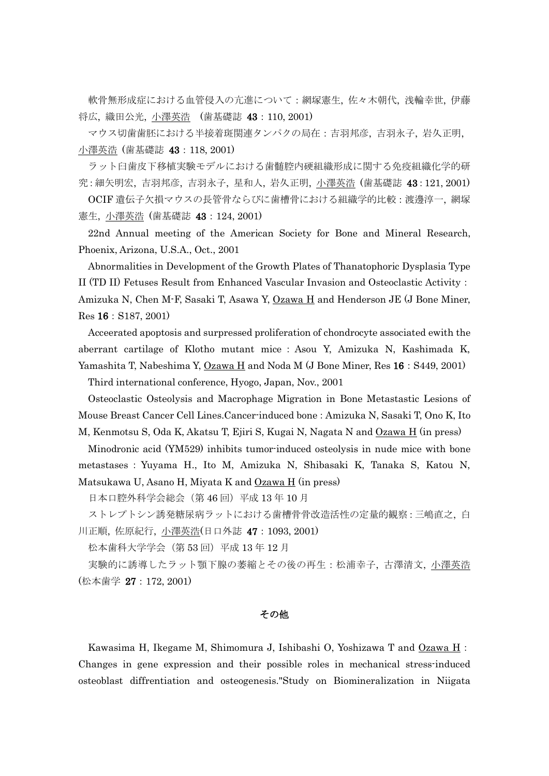軟骨無形成症における血管侵入の亢進について:網塚憲生, 佐々木朝代, 浅輪幸世, 伊藤 将広, 織田公光, 小澤英浩 (歯基礎誌 43:110, 2001)

マウス切歯歯胚における半接着斑関連タンパクの局在:吉羽邦彦, 吉羽永子, 岩久正明, 小澤英浩 (歯基礎誌 43:118, 2001)

ラット臼歯皮下移植実験モデルにおける歯髄腔内硬組織形成に関する免疫組織化学的研 究:細矢明宏, 吉羽邦彦, 吉羽永子, 星和人, 岩久正明, 小澤英浩 (歯基礎誌 43:121, 2001)

OCIF 遺伝子欠損マウスの長管骨ならびに歯槽骨における組織学的比較:渡邊淳一, 網塚 憲生, 小澤英浩 (歯基礎誌 43:124, 2001)

22nd Annual meeting of the American Society for Bone and Mineral Research, Phoenix, Arizona, U.S.A., Oct., 2001

Abnormalities in Development of the Growth Plates of Thanatophoric Dysplasia Type II (TD II) Fetuses Result from Enhanced Vascular Invasion and Osteoclastic Activity: Amizuka N, Chen M-F, Sasaki T, Asawa Y, Ozawa H and Henderson JE (J Bone Miner, Res 16:S187, 2001)

Acceerated apoptosis and surpressed proliferation of chondrocyte associated ewith the aberrant cartilage of Klotho mutant mice : Asou Y, Amizuka N, Kashimada K, Yamashita T, Nabeshima Y,  $Ozawa H$  and Noda M (J Bone Miner, Res 16: S449, 2001) Third international conference, Hyogo, Japan, Nov., 2001

Osteoclastic Osteolysis and Macrophage Migration in Bone Metastastic Lesions of Mouse Breast Cancer Cell Lines.Cancer-induced bone:Amizuka N, Sasaki T, Ono K, Ito M, Kenmotsu S, Oda K, Akatsu T, Ejiri S, Kugai N, Nagata N and Ozawa H (in press)

Minodronic acid (YM529) inhibits tumor-induced osteolysis in nude mice with bone metastases:Yuyama H., Ito M, Amizuka N, Shibasaki K, Tanaka S, Katou N, Matsukawa U, Asano H, Miyata K and Ozawa H (in press)

日本口腔外科学会総会(第 46 回)平成 13 年 10 月

ストレプトシン誘発糖尿病ラットにおける歯槽骨骨改造活性の定量的観察:三嶋直之, 白 川正順, 佐原紀行, 小澤英浩(日口外誌 47:1093, 2001)

松本歯科大学学会(第 53回)平成 13年 12月

実験的に誘導したラット顎下腺の萎縮とその後の再生:松浦幸子, 古澤清文, 小澤英浩 (松本歯学 27:172, 2001)

## その他

Kawasima H, Ikegame M, Shimomura J, Ishibashi O, Yoshizawa T and Ozawa H: Changes in gene expression and their possible roles in mechanical stress-induced osteoblast diffrentiation and osteogenesis."Study on Biomineralization in Niigata